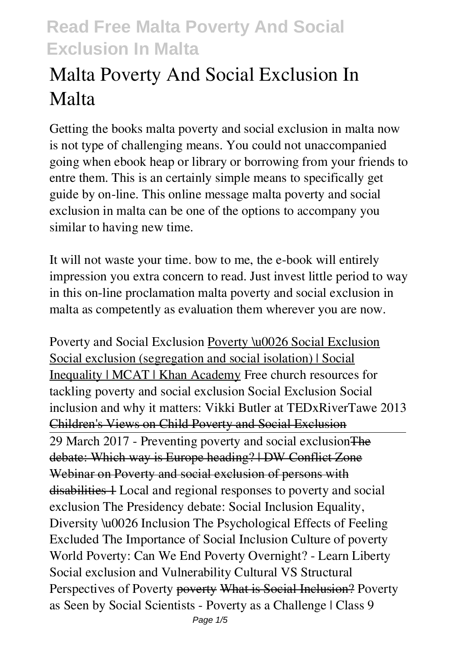# **Malta Poverty And Social Exclusion In Malta**

Getting the books **malta poverty and social exclusion in malta** now is not type of challenging means. You could not unaccompanied going when ebook heap or library or borrowing from your friends to entre them. This is an certainly simple means to specifically get guide by on-line. This online message malta poverty and social exclusion in malta can be one of the options to accompany you similar to having new time.

It will not waste your time. bow to me, the e-book will entirely impression you extra concern to read. Just invest little period to way in this on-line proclamation **malta poverty and social exclusion in malta** as competently as evaluation them wherever you are now.

*Poverty and Social Exclusion* Poverty \u0026 Social Exclusion Social exclusion (segregation and social isolation) | Social Inequality | MCAT | Khan Academy *Free church resources for tackling poverty and social exclusion Social Exclusion Social inclusion and why it matters: Vikki Butler at TEDxRiverTawe 2013* Children's Views on Child Poverty and Social Exclusion 29 March 2017 - Preventing poverty and social exclusion The debate: Which way is Europe heading? | DW Conflict Zone Webinar on Poverty and social exclusion of persons with disabilities 1 *Local and regional responses to poverty and social exclusion The Presidency debate: Social Inclusion Equality, Diversity \u0026 Inclusion The Psychological Effects of Feeling Excluded The Importance of Social Inclusion* **Culture of poverty** World Poverty: Can We End Poverty Overnight? - Learn Liberty Social exclusion and Vulnerability Cultural VS Structural Perspectives of Poverty poverty What is Social Inclusion? *Poverty as Seen by Social Scientists - Poverty as a Challenge | Class 9*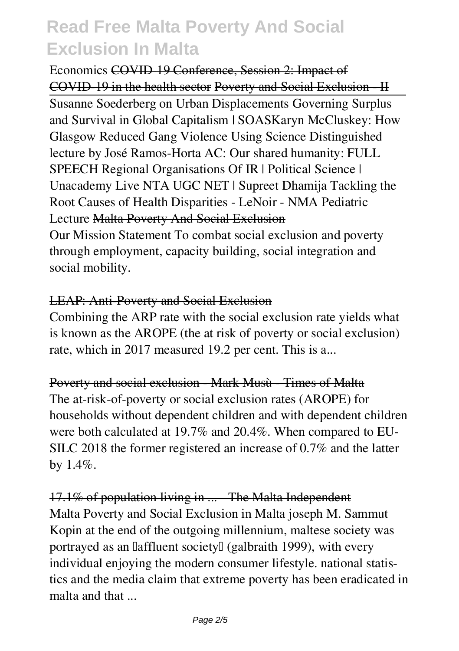*Economics* COVID-19 Conference, Session 2: Impact of COVID-19 in the health sector Poverty and Social Exclusion - II

Susanne Soederberg on Urban Displacements Governing Surplus and Survival in Global Capitalism | SOAS**Karyn McCluskey: How Glasgow Reduced Gang Violence Using Science** *Distinguished lecture by José Ramos-Horta AC: Our shared humanity: FULL SPEECH Regional Organisations Of IR | Political Science | Unacademy Live NTA UGC NET | Supreet Dhamija* **Tackling the Root Causes of Health Disparities - LeNoir - NMA Pediatric Lecture** Malta Poverty And Social Exclusion

Our Mission Statement To combat social exclusion and poverty through employment, capacity building, social integration and social mobility.

### LEAP: Anti-Poverty and Social Exclusion

Combining the ARP rate with the social exclusion rate yields what is known as the AROPE (the at risk of poverty or social exclusion) rate, which in 2017 measured 19.2 per cent. This is a...

#### Poverty and social exclusion - Mark Musù - Times of Malta

The at-risk-of-poverty or social exclusion rates (AROPE) for households without dependent children and with dependent children were both calculated at 19.7% and 20.4%. When compared to EU-SILC 2018 the former registered an increase of 0.7% and the latter by 1.4%.

### 17.1% of population living in ... The Malta Independent

Malta Poverty and Social Exclusion in Malta joseph M. Sammut Kopin at the end of the outgoing millennium, maltese society was portrayed as an laffluent societyl (galbraith 1999), with every individual enjoying the modern consumer lifestyle. national statistics and the media claim that extreme poverty has been eradicated in malta and that ...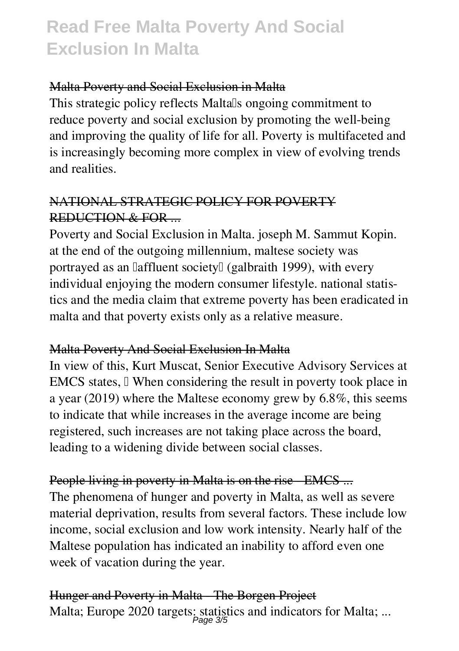#### Malta Poverty and Social Exclusion in Malta

This strategic policy reflects Maltalls ongoing commitment to reduce poverty and social exclusion by promoting the well-being and improving the quality of life for all. Poverty is multifaceted and is increasingly becoming more complex in view of evolving trends and realities.

## NATIONAL STRATEGIC POLICY FOR POVERTY REDUCTION & FOR ...

Poverty and Social Exclusion in Malta. joseph M. Sammut Kopin. at the end of the outgoing millennium, maltese society was portrayed as an laffluent societyl (galbraith 1999), with every individual enjoying the modern consumer lifestyle. national statistics and the media claim that extreme poverty has been eradicated in malta and that poverty exists only as a relative measure.

### Malta Poverty And Social Exclusion In Malta

In view of this, Kurt Muscat, Senior Executive Advisory Services at EMCS states,  $\Box$  When considering the result in poverty took place in a year (2019) where the Maltese economy grew by 6.8%, this seems to indicate that while increases in the average income are being registered, such increases are not taking place across the board, leading to a widening divide between social classes.

### People living in poverty in Malta is on the rise EMCS ...

The phenomena of hunger and poverty in Malta, as well as severe material deprivation, results from several factors. These include low income, social exclusion and low work intensity. Nearly half of the Maltese population has indicated an inability to afford even one week of vacation during the year.

Hunger and Poverty in Malta The Borgen Project Malta; Europe 2020 targets: statistics and indicators for Malta; ... Page 3/5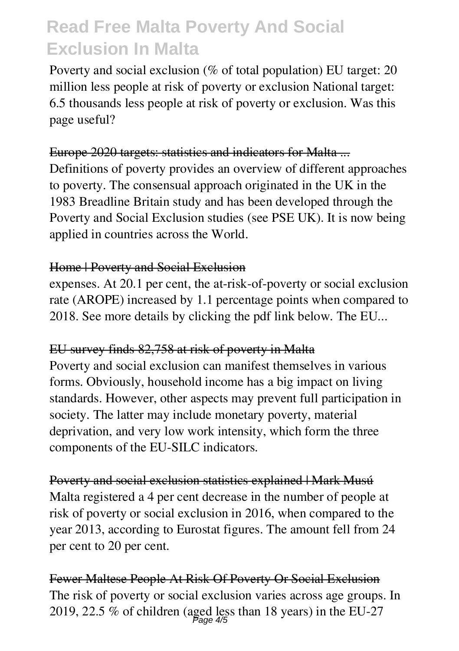Poverty and social exclusion (% of total population) EU target: 20 million less people at risk of poverty or exclusion National target: 6.5 thousands less people at risk of poverty or exclusion. Was this page useful?

### Europe 2020 targets: statistics and indicators for Malta ...

Definitions of poverty provides an overview of different approaches to poverty. The consensual approach originated in the UK in the 1983 Breadline Britain study and has been developed through the Poverty and Social Exclusion studies (see PSE UK). It is now being applied in countries across the World.

### Home | Poverty and Social Exclusion

expenses. At 20.1 per cent, the at-risk-of-poverty or social exclusion rate (AROPE) increased by 1.1 percentage points when compared to 2018. See more details by clicking the pdf link below. The EU...

### EU survey finds 82,758 at risk of poverty in Malta

Poverty and social exclusion can manifest themselves in various forms. Obviously, household income has a big impact on living standards. However, other aspects may prevent full participation in society. The latter may include monetary poverty, material deprivation, and very low work intensity, which form the three components of the EU-SILC indicators.

Poverty and social exclusion statistics explained | Mark Musú Malta registered a 4 per cent decrease in the number of people at risk of poverty or social exclusion in 2016, when compared to the year 2013, according to Eurostat figures. The amount fell from 24 per cent to 20 per cent.

Fewer Maltese People At Risk Of Poverty Or Social Exclusion The risk of poverty or social exclusion varies across age groups. In 2019, 22.5 % of children (aged less than 18 years) in the EU-27